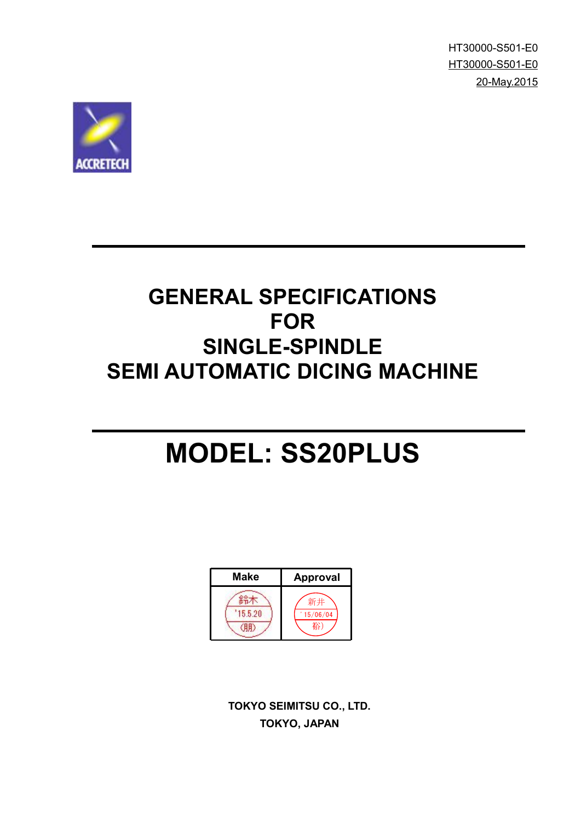HT30000-S501-E0 HT30000-S501-E0 20-May.2015



## **GENERAL SPECIFICATIONS FOR SINGLE-SPINDLE SEMI AUTOMATIC DICING MACHINE**

# **MODEL: SS20PLUS**



**TOKYO SEIMITSU CO., LTD. TOKYO, JAPAN**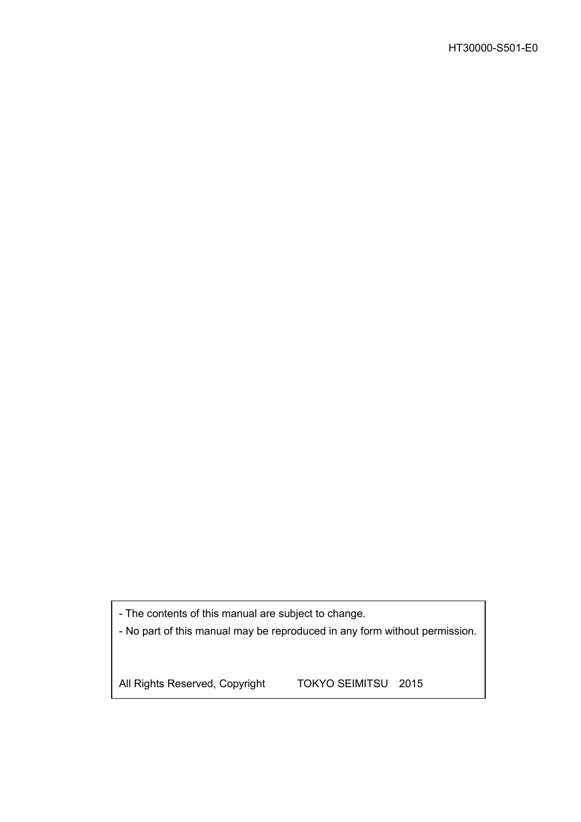- The contents of this manual are subject to change.

- No part of this manual may be reproduced in any form without permission.

All Rights Reserved, Copyright TOKYO SEIMITSU 2015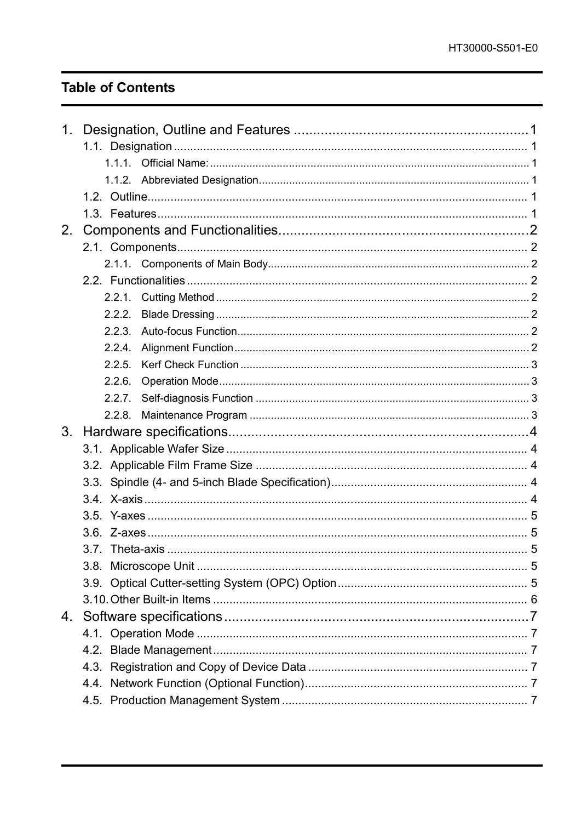### **Table of Contents**

| 1.             |        |  |
|----------------|--------|--|
|                |        |  |
|                |        |  |
|                |        |  |
|                |        |  |
|                |        |  |
| 2 <sub>1</sub> |        |  |
|                |        |  |
|                |        |  |
|                |        |  |
|                |        |  |
|                | 2.2.2. |  |
|                | 2.2.3. |  |
|                | 2.2.4. |  |
|                | 2.2.5. |  |
|                | 2.2.6. |  |
|                | 2.2.7. |  |
|                | 2.2.8. |  |
| 3.             |        |  |
|                |        |  |
|                |        |  |
|                |        |  |
|                |        |  |
|                |        |  |
|                |        |  |
|                |        |  |
|                |        |  |
|                |        |  |
|                |        |  |
|                |        |  |
|                |        |  |
|                |        |  |
|                |        |  |
|                |        |  |
|                |        |  |
|                |        |  |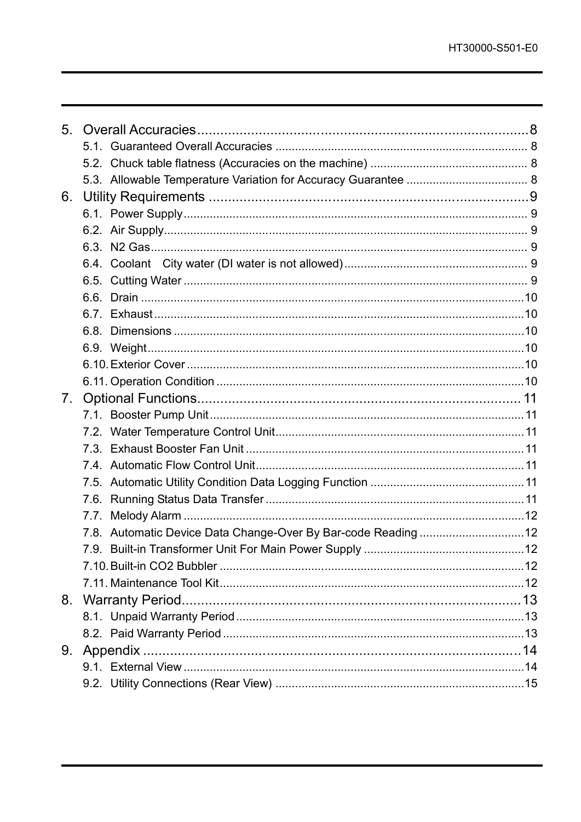| 6. |                                                               |  |
|----|---------------------------------------------------------------|--|
|    |                                                               |  |
|    |                                                               |  |
|    |                                                               |  |
|    |                                                               |  |
|    |                                                               |  |
|    |                                                               |  |
|    |                                                               |  |
|    |                                                               |  |
|    |                                                               |  |
|    |                                                               |  |
|    |                                                               |  |
| 7. |                                                               |  |
|    |                                                               |  |
|    |                                                               |  |
|    |                                                               |  |
|    |                                                               |  |
|    |                                                               |  |
|    |                                                               |  |
|    |                                                               |  |
|    | 7.8. Automatic Device Data Change-Over By Bar-code Reading 12 |  |
|    |                                                               |  |
|    |                                                               |  |
|    |                                                               |  |
| 8. |                                                               |  |
|    |                                                               |  |
|    |                                                               |  |
| 9. |                                                               |  |
|    |                                                               |  |
|    |                                                               |  |
|    |                                                               |  |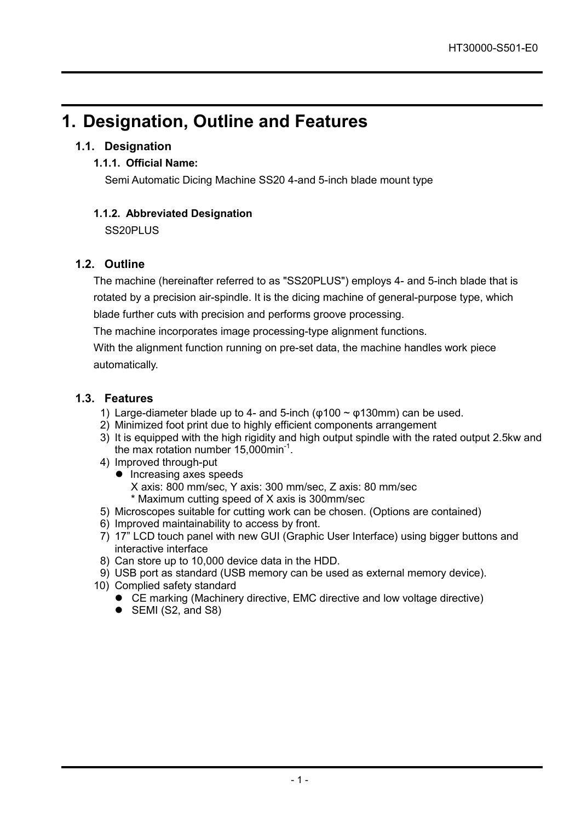### **1. Designation, Outline and Features**

### **1.1. Designation**

### **1.1.1. Official Name:**

Semi Automatic Dicing Machine SS20 4-and 5-inch blade mount type

### **1.1.2. Abbreviated Designation**

SS20PLUS

### **1.2. Outline**

The machine (hereinafter referred to as "SS20PLUS") employs 4- and 5-inch blade that is rotated by a precision air-spindle. It is the dicing machine of general-purpose type, which blade further cuts with precision and performs groove processing.

The machine incorporates image processing-type alignment functions.

With the alignment function running on pre-set data, the machine handles work piece automatically.

### **1.3. Features**

- 1) Large-diameter blade up to 4- and 5-inch ( $\varphi$ 100  $\sim \varphi$ 130mm) can be used.
- 2) Minimized foot print due to highly efficient components arrangement
- 3) It is equipped with the high rigidity and high output spindle with the rated output 2.5kw and the max rotation number 15,000min-1 .
- 4) Improved through-put
	- **•** Increasing axes speeds X axis: 800 mm/sec, Y axis: 300 mm/sec, Z axis: 80 mm/sec \* Maximum cutting speed of X axis is 300mm/sec
- 5) Microscopes suitable for cutting work can be chosen. (Options are contained)
- 6) Improved maintainability to access by front.
- 7) 17" LCD touch panel with new GUI (Graphic User Interface) using bigger buttons and interactive interface
- 8) Can store up to 10,000 device data in the HDD.
- 9) USB port as standard (USB memory can be used as external memory device).
- 10) Complied safety standard
	- CE marking (Machinery directive, EMC directive and low voltage directive)
	- $\bullet$  SEMI (S2, and S8)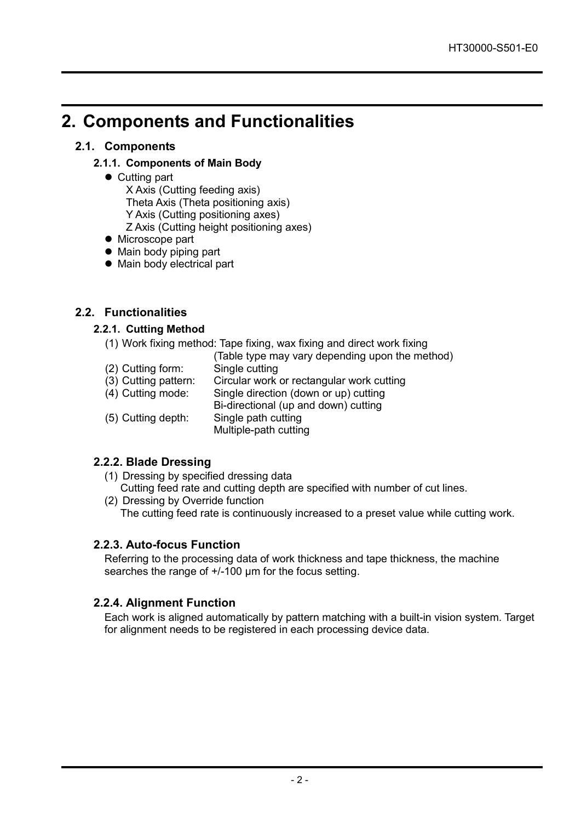### **2. Components and Functionalities**

### **2.1. Components**

### **2.1.1. Components of Main Body**

• Cutting part

X Axis (Cutting feeding axis)

Theta Axis (Theta positioning axis)

Y Axis (Cutting positioning axes)

Z Axis (Cutting height positioning axes)

- $\bullet$  Microscope part
- Main body piping part
- Main body electrical part

### **2.2. Functionalities**

### **2.2.1. Cutting Method**

- (1) Work fixing method: Tape fixing, wax fixing and direct work fixing
	- (Table type may vary depending upon the method)
- $(2)$  Cutting form:<br> $(3)$  Cutting pattern: Circular work or rectangular work cutting (4) Cutting mode: Single direction (down or up) cutting Bi-directional (up and down) cutting (5) Cutting depth: Single path cutting Multiple-path cutting

### **2.2.2. Blade Dressing**

- (1) Dressing by specified dressing data Cutting feed rate and cutting depth are specified with number of cut lines.
- (2) Dressing by Override function The cutting feed rate is continuously increased to a preset value while cutting work.

### **2.2.3. Auto-focus Function**

Referring to the processing data of work thickness and tape thickness, the machine searches the range of  $+/100 \mu m$  for the focus setting.

### **2.2.4. Alignment Function**

Each work is aligned automatically by pattern matching with a built-in vision system. Target for alignment needs to be registered in each processing device data.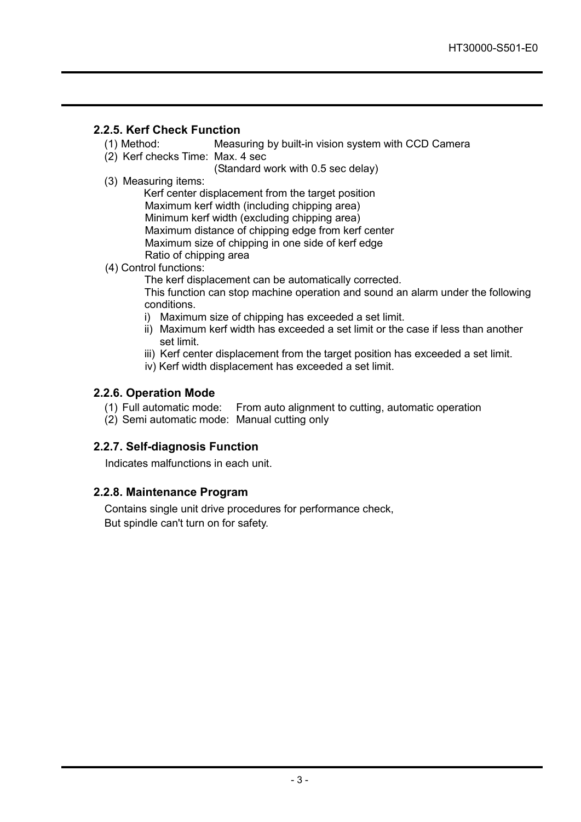### **2.2.5. Kerf Check Function**

- (1) Method: Measuring by built-in vision system with CCD Camera
- (2) Kerf checks Time: Max. 4 sec
	- (Standard work with 0.5 sec delay)
- (3) Measuring items:

Kerf center displacement from the target position Maximum kerf width (including chipping area) Minimum kerf width (excluding chipping area) Maximum distance of chipping edge from kerf center Maximum size of chipping in one side of kerf edge Ratio of chipping area

(4) Control functions:

The kerf displacement can be automatically corrected. This function can stop machine operation and sound an alarm under the following conditions.

- i) Maximum size of chipping has exceeded a set limit.
- ii) Maximum kerf width has exceeded a set limit or the case if less than another set limit.
- iii) Kerf center displacement from the target position has exceeded a set limit.
- iv) Kerf width displacement has exceeded a set limit.

### **2.2.6. Operation Mode**

- (1) Full automatic mode: From auto alignment to cutting, automatic operation
- (2) Semi automatic mode: Manual cutting only

### **2.2.7. Self-diagnosis Function**

Indicates malfunctions in each unit.

### **2.2.8. Maintenance Program**

Contains single unit drive procedures for performance check, But spindle can't turn on for safety.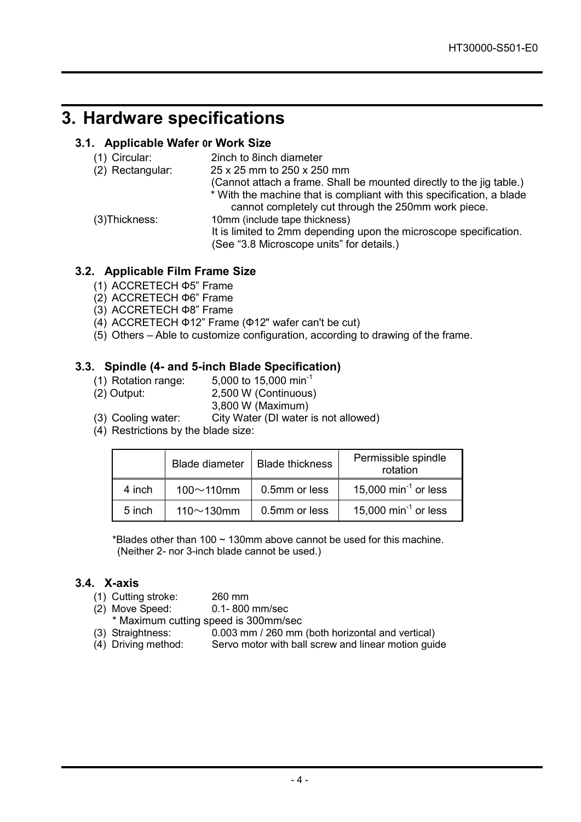### **3. Hardware specifications**

### **3.1. Applicable Wafer 0r Work Size**

| 2inch to 8inch diameter                                                                                                      |
|------------------------------------------------------------------------------------------------------------------------------|
| 25 x 25 mm to 250 x 250 mm                                                                                                   |
| (Cannot attach a frame. Shall be mounted directly to the jig table.)                                                         |
| * With the machine that is compliant with this specification, a blade<br>cannot completely cut through the 250mm work piece. |
| 10mm (include tape thickness)                                                                                                |
| It is limited to 2mm depending upon the microscope specification.                                                            |
| (See "3.8 Microscope units" for details.)                                                                                    |
|                                                                                                                              |

### **3.2. Applicable Film Frame Size**

- (1) ACCRETECH Ф5" Frame
- (2) ACCRETECH Ф6" Frame
- (3) ACCRETECH Ф8" Frame
- (4) ACCRETECH Ф12" Frame (Ф12" wafer can't be cut)
- (5) Others Able to customize configuration, according to drawing of the frame.

# **3.3. Spindle (4- and 5-inch Blade Specification)**

- (1) Rotation range:<br>(2) Output:
- 2,500 W (Continuous)
- 3,800 W (Maximum)
- (3) Cooling water: City Water (DI water is not allowed)
- (4) Restrictions by the blade size:

|        | <b>Blade diameter</b> | <b>Blade thickness</b> | Permissible spindle<br>rotation  |
|--------|-----------------------|------------------------|----------------------------------|
| 4 inch | $100 \sim 110$ mm     | 0.5mm or less          | 15,000 min <sup>-1</sup> or less |
| 5 inch | 110 $\sim$ 130mm      | 0.5mm or less          | 15,000 min <sup>-1</sup> or less |

\*Blades other than 100  $\sim$  130mm above cannot be used for this machine. (Neither 2- nor 3-inch blade cannot be used.)

### **3.4. X-axis**

- (1) Cutting stroke: 260 mm<br>(2) Move Speed: 0.1-800 mm/sec
- (2) Move Speed: \* Maximum cutting speed is 300mm/sec<br>(3) Straightness: 0.003 mm / 260 mm
- 0.003 mm / 260 mm (both horizontal and vertical)
- (4) Driving method: Servo motor with ball screw and linear motion guide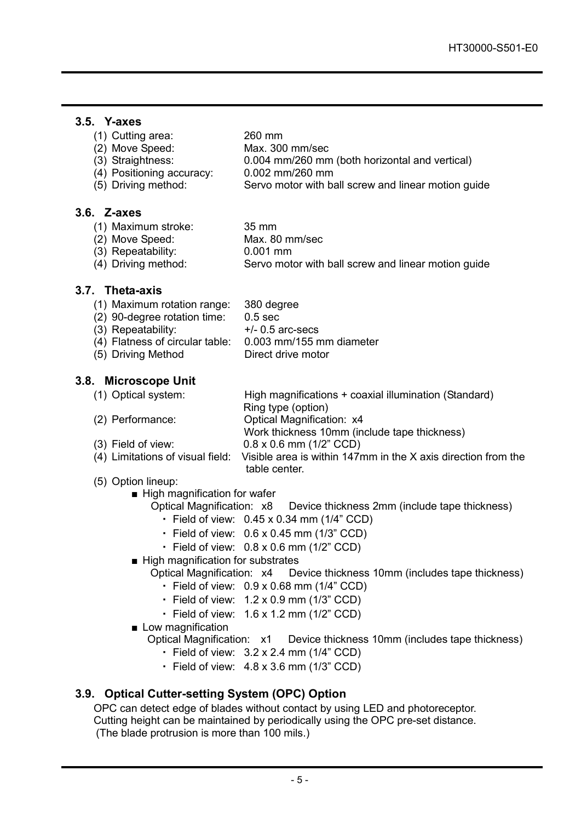### **3.5. Y-axes**

| (1) Cutting area: | 260 mm          |
|-------------------|-----------------|
| (2) Move Speed:   | Max. 300 mm/sec |

- (3) Straightness: 0.004 mm/260 mm (both horizontal and vertical)
- (4) Positioning accuracy: 0.002 mm/260 mm Servo motor with ball screw and linear motion guide

### **3.6. Z-axes**

- (1) Maximum stroke: 35 mm
- (2) Move Speed: Max. 80 mm/sec
	-
- (3) Repeatability: 0.001 mm<br>(4) Driving method: Servo mote Servo motor with ball screw and linear motion guide

#### **3.7. Theta-axis**

- (1) Maximum rotation range: 380 degree<br>(2) 90-degree rotation time: 0.5 sec
- $(2)$  90-degree rotation time:
- (3) Repeatability:  $+/- 0.5$  arc-secs
- (4) Flatness of circular table: 0.003 mm/155 mm diameter
- (5) Driving Method Direct drive motor

### **3.8. Microscope Unit**

(1) Optical system: High magnifications + coaxial illumination (Standard) Ring type (option)

- (2) Performance: Optical Magnification: x4
	- Work thickness 10mm (include tape thickness)
- (3) Field of view: 0.8 x 0.6 mm (1/2" CCD)

table center.

- $(4)$  Limitations of visual field: Visible area is within 147mm in the X axis direction from the
- (5) Option lineup:
	- High magnification for wafer
		- Optical Magnification: x8 Device thickness 2mm (include tape thickness)
			- ・ Field of view: 0.45 x 0.34 mm (1/4" CCD)
			- $\cdot$  Field of view: 0.6 x 0.45 mm (1/3" CCD)
			- $\cdot$  Field of view:  $0.8 \times 0.6$  mm (1/2" CCD)
	- High magnification for substrates

Optical Magnification: x4 Device thickness 10mm (includes tape thickness)

- $\cdot$  Field of view:  $0.9 \times 0.68$  mm (1/4" CCD)
- Field of view:  $1.2 \times 0.9$  mm (1/3" CCD)
- ・ Field of view: 1.6 x 1.2 mm (1/2" CCD)
- Low magnification

Optical Magnification: x1 Device thickness 10mm (includes tape thickness)

- ・ Field of view: 3.2 x 2.4 mm (1/4" CCD)
- ・ Field of view: 4.8 x 3.6 mm (1/3" CCD)

### **3.9. Optical Cutter-setting System (OPC) Option**

OPC can detect edge of blades without contact by using LED and photoreceptor. Cutting height can be maintained by periodically using the OPC pre-set distance. (The blade protrusion is more than 100 mils.)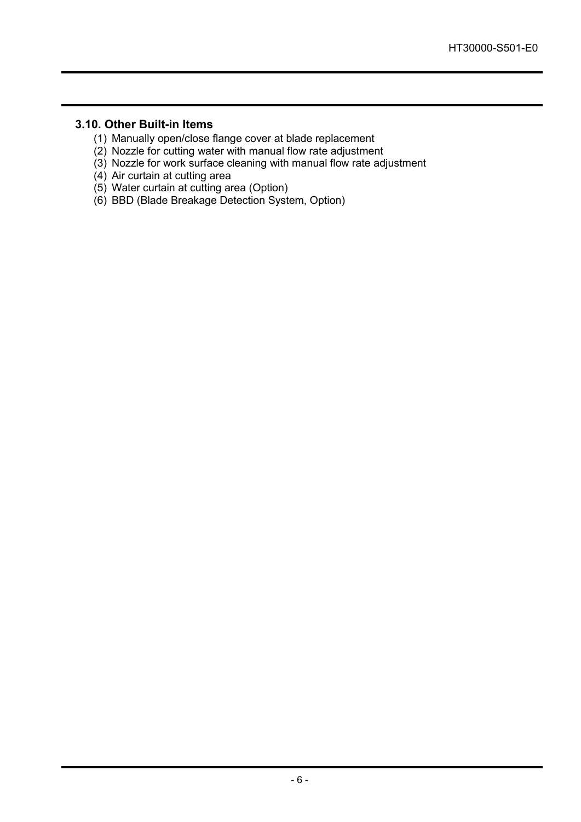### **3.10. Other Built-in Items**

- (1) Manually open/close flange cover at blade replacement
- (2) Nozzle for cutting water with manual flow rate adjustment
- (3) Nozzle for work surface cleaning with manual flow rate adjustment
- (4) Air curtain at cutting area
- (5) Water curtain at cutting area (Option)
- (6) BBD (Blade Breakage Detection System, Option)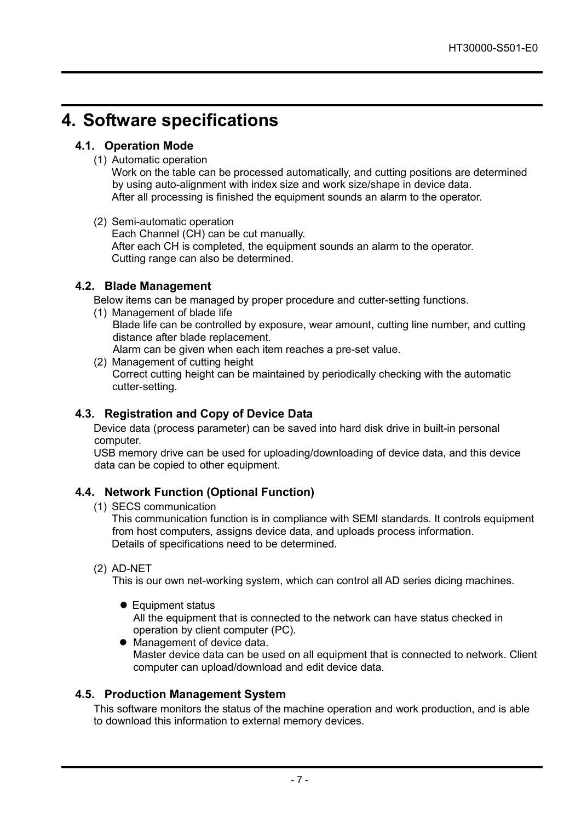### **4. Software specifications**

### **4.1. Operation Mode**

(1) Automatic operation

Work on the table can be processed automatically, and cutting positions are determined by using auto-alignment with index size and work size/shape in device data. After all processing is finished the equipment sounds an alarm to the operator.

(2) Semi-automatic operation Each Channel (CH) can be cut manually. After each CH is completed, the equipment sounds an alarm to the operator. Cutting range can also be determined.

### **4.2. Blade Management**

Below items can be managed by proper procedure and cutter-setting functions.

- (1) Management of blade life Blade life can be controlled by exposure, wear amount, cutting line number, and cutting distance after blade replacement. Alarm can be given when each item reaches a pre-set value.
- (2) Management of cutting height Correct cutting height can be maintained by periodically checking with the automatic cutter-setting.

### **4.3. Registration and Copy of Device Data**

Device data (process parameter) can be saved into hard disk drive in built-in personal computer.

USB memory drive can be used for uploading/downloading of device data, and this device data can be copied to other equipment.

### **4.4. Network Function (Optional Function)**

(1) SECS communication

This communication function is in compliance with SEMI standards. It controls equipment from host computers, assigns device data, and uploads process information. Details of specifications need to be determined.

(2) AD-NET

This is our own net-working system, which can control all AD series dicing machines.

● Equipment status

All the equipment that is connected to the network can have status checked in operation by client computer (PC).

 Management of device data. Master device data can be used on all equipment that is connected to network. Client computer can upload/download and edit device data.

### **4.5. Production Management System**

This software monitors the status of the machine operation and work production, and is able to download this information to external memory devices.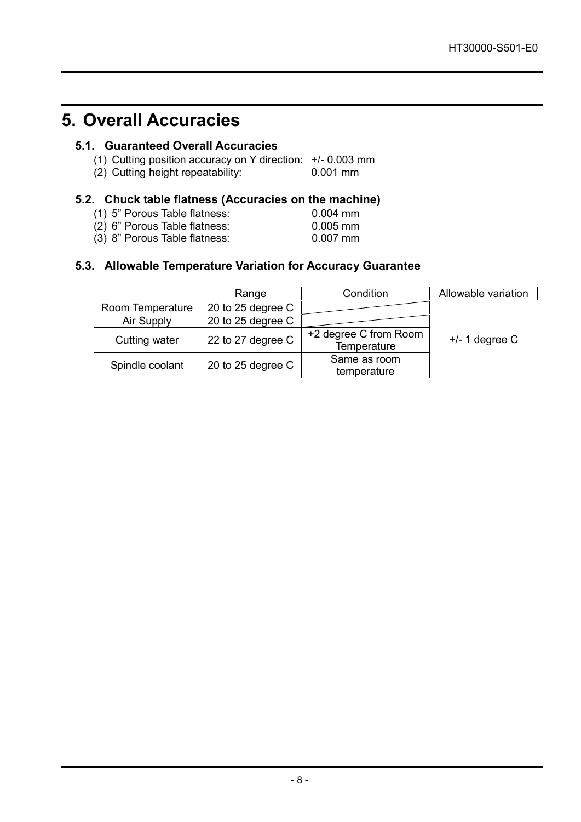### **5. Overall Accuracies**

### **5.1. Guaranteed Overall Accuracies**

- (1) Cutting position accuracy on Y direction:  $+/- 0.003$  mm (2) Cutting height repeatability: 0.001 mm
- $(2)$  Cutting height repeatability:

### **5.2. Chuck table flatness (Accuracies on the machine)**

| (1) 5" Porous Table flatness: | $0.004 \, \text{mm}$ |
|-------------------------------|----------------------|
| (2) 6" Porous Table flatness: | $0.005$ mm           |
|                               |                      |

(3) 8" Porous Table flatness: 0.007 mm

### **5.3. Allowable Temperature Variation for Accuracy Guarantee**

|                  | Range             | Condition                            | Allowable variation |
|------------------|-------------------|--------------------------------------|---------------------|
| Room Temperature | 20 to 25 degree C |                                      |                     |
| Air Supply       | 20 to 25 degree C |                                      |                     |
| Cutting water    | 22 to 27 degree C | +2 degree C from Room<br>Temperature | $+/- 1$ degree C    |
| Spindle coolant  | 20 to 25 degree C | Same as room<br>temperature          |                     |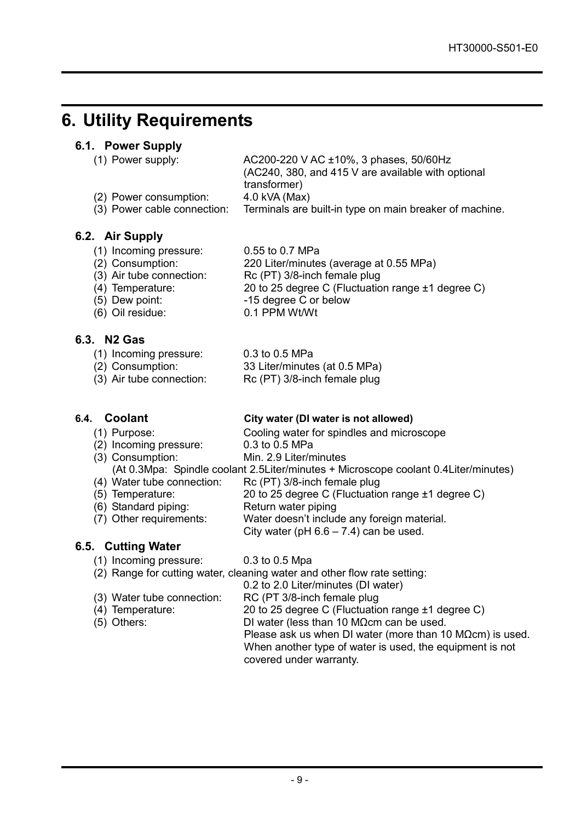### **6. Utility Requirements**

#### **6.1. Power Supply**

| (1) Power supply:           | AC200-220 V AC ±10%, 3 phases, 50/60Hz                  |
|-----------------------------|---------------------------------------------------------|
|                             | (AC240, 380, and 415 V are available with optional      |
|                             | transformer)                                            |
| (2) Power consumption:      | $4.0$ kVA (Max)                                         |
| (3) Power cable connection: | Terminals are built-in type on main breaker of machine. |

### **6.2. Air Supply**

- (1) Incoming pressure: 0.55 to 0.7 MPa
	-
- $(2)$  Consumption: 220 Liter/minutes (average at 0.55 MPa)<br>(3) Air tube connection: Rc (PT) 3/8-inch female plug
- Rc (PT) 3/8-inch female plug
- (4) Temperature: 20 to 25 degree C (Fluctuation range  $\pm$ 1 degree C)<br>(5) Dew point:  $\frac{15 \text{ degree C or below}}{}$ -15 degree C or below
	-
- (6) Oil residue: 0.1 PPM Wt/Wt

### **6.3. N2 Gas**

- (1) Incoming pressure: 0.3 to 0.5 MPa
	-
- (2) Consumption: 33 Liter/minutes (at 0.5 MPa)
- (3) Air tube connection: Rc (PT) 3/8-inch female plug

### **6.4. Coolant City water (DI water is not allowed)**

- 
- (1) Purpose:  $\begin{array}{ccc} \text{Coling water for spindles and microscope} \\ \text{(2) Incoming pressure} \end{array}$  $(2)$  Incoming pressure:
- (3) Consumption: Min. 2.9 Liter/minutes

(At 0.3Mpa: Spindle coolant 2.5Liter/minutes + Microscope coolant 0.4Liter/minutes)

- (4) Water tube connection: Rc (PT) 3/8-inch female plug
- (5) Temperature:  $20 \text{ to } 25 \text{ degree C}$  (Fluctuation range  $\pm 1 \text{ degree C}$ )<br>(6) Standard piping: Return water piping
- (6) Standard piping:<br>(7) Other requirements:
	- Water doesn't include any foreign material.
		- City water (pH  $6.6 7.4$ ) can be used.

### **6.5. Cutting Water**

- (1) Incoming pressure: 0.3 to 0.5 Mpa
- (2) Range for cutting water, cleaning water and other flow rate setting:
	- 0.2 to 2.0 Liter/minutes (DI water)
	-
- (3) Water tube connection: RC (PT 3/8-inch female plug<br>(4) Temperature: 20 to 25 degree C (Fluctuation 20 to 25 degree C (Fluctuation range  $±1$  degree C) (5) Others: DI water (less than 10 MΩcm can be used. Please ask us when DI water (more than 10 M $\Omega$ cm) is used. When another type of water is used, the equipment is not covered under warranty.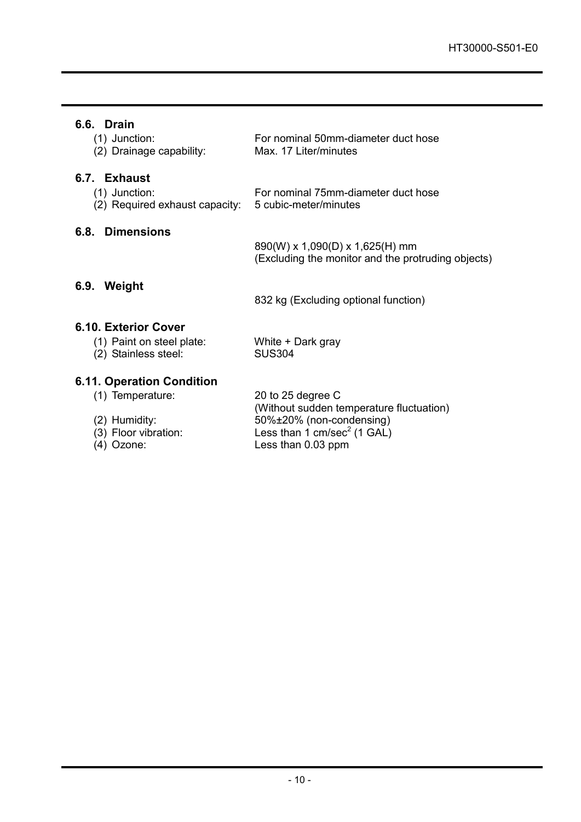### **6.6. Drain**

| (1) Junction:            | For nominal 50mm-diameter duct hose |
|--------------------------|-------------------------------------|
| (2) Drainage capability: | Max. 17 Liter/minutes               |
|                          |                                     |

### **6.7. Exhaust**

 $(2)$  Required exhaust capacity:

(1) Junction: For nominal 75mm-diameter duct hose<br>(2) Required exhaust capacity: 5 cubic-meter/minutes

### **6.8. Dimensions**

890(W) x 1,090(D) x 1,625(H) mm (Excluding the monitor and the protruding objects)

### **6.9. Weight**

832 kg (Excluding optional function)

### **6.10. Exterior Cover**

| (1) Paint on steel plate: | White + Dark gray |
|---------------------------|-------------------|
| (2) Stainless steel:      | <b>SUS304</b>     |

### **6.11. Operation Condition**

| (1) Temperature |
|-----------------|

- 
- 
- 

 $\sum_{i=1}^{\infty}$  20 to 25 degree C (Without sudden temperature fluctuation) (2) Humidity:  $50\% \pm 20\%$  (non-condensing)<br>(3) Floor vibration: Less than 1 cm/sec<sup>2</sup> (1 GAL) (3) Floor vibration: Less than 1 cm/sec<sup>2</sup> (1 GAL) (4) Ozone: Less than 0.03 ppm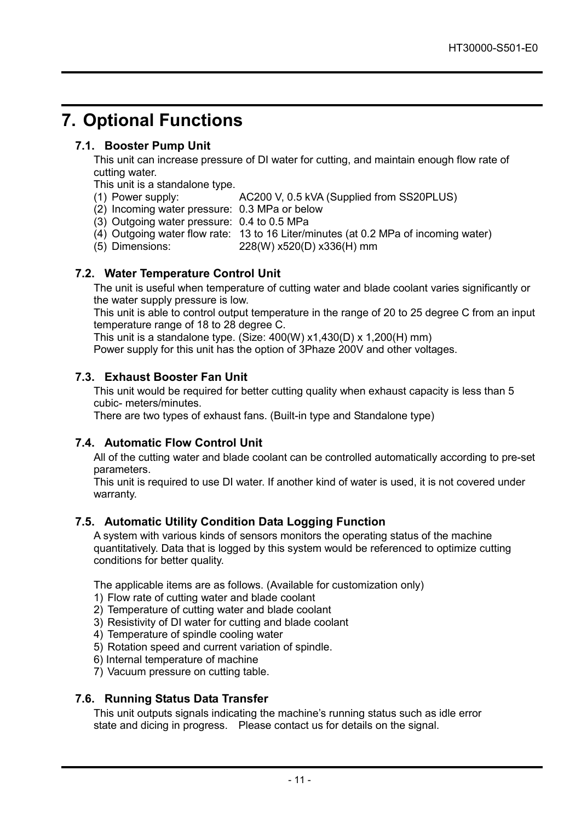### **7. Optional Functions**

### **7.1. Booster Pump Unit**

This unit can increase pressure of DI water for cutting, and maintain enough flow rate of cutting water.

This unit is a standalone type.<br>(1) Power supply:

- AC200 V, 0.5 kVA (Supplied from SS20PLUS)
- (2) Incoming water pressure: 0.3 MPa or below
- (3) Outgoing water pressure: 0.4 to 0.5 MPa
- (4) Outgoing water flow rate: 13 to 16 Liter/minutes (at 0.2 MPa of incoming water)
- 
- (5) Dimensions: 228(W) x520(D) x336(H) mm

### **7.2. Water Temperature Control Unit**

The unit is useful when temperature of cutting water and blade coolant varies significantly or the water supply pressure is low.

This unit is able to control output temperature in the range of 20 to 25 degree C from an input temperature range of 18 to 28 degree C.

This unit is a standalone type. (Size: 400(W) x1,430(D) x 1,200(H) mm)

Power supply for this unit has the option of 3Phaze 200V and other voltages.

#### **7.3. Exhaust Booster Fan Unit**

This unit would be required for better cutting quality when exhaust capacity is less than 5 cubic- meters/minutes.

There are two types of exhaust fans. (Built-in type and Standalone type)

#### **7.4. Automatic Flow Control Unit**

All of the cutting water and blade coolant can be controlled automatically according to pre-set parameters.

This unit is required to use DI water. If another kind of water is used, it is not covered under warranty.

### **7.5. Automatic Utility Condition Data Logging Function**

A system with various kinds of sensors monitors the operating status of the machine quantitatively. Data that is logged by this system would be referenced to optimize cutting conditions for better quality.

The applicable items are as follows. (Available for customization only)

- 1) Flow rate of cutting water and blade coolant
- 2) Temperature of cutting water and blade coolant
- 3) Resistivity of DI water for cutting and blade coolant
- 4) Temperature of spindle cooling water
- 5) Rotation speed and current variation of spindle.
- 6) Internal temperature of machine
- 7) Vacuum pressure on cutting table.

#### **7.6. Running Status Data Transfer**

This unit outputs signals indicating the machine's running status such as idle error state and dicing in progress. Please contact us for details on the signal.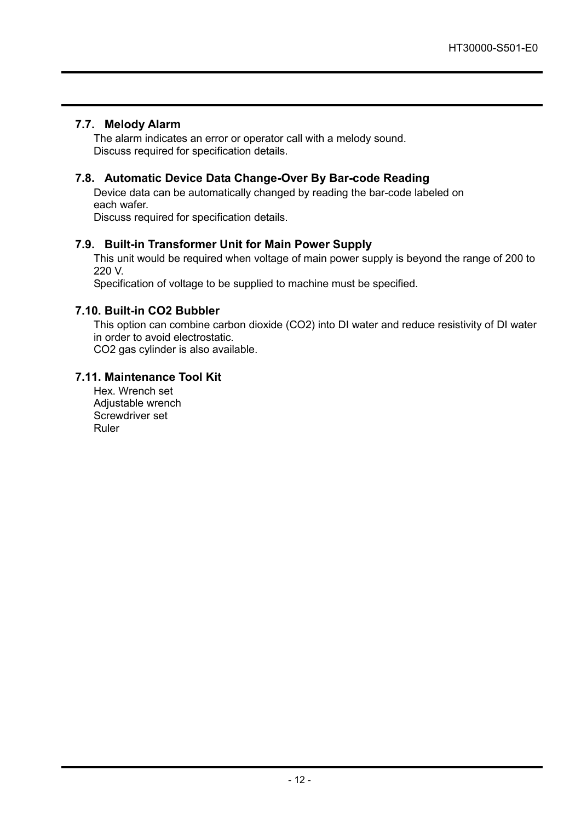### **7.7. Melody Alarm**

The alarm indicates an error or operator call with a melody sound. Discuss required for specification details.

### **7.8. Automatic Device Data Change-Over By Bar-code Reading**

Device data can be automatically changed by reading the bar-code labeled on each wafer.

Discuss required for specification details.

### **7.9. Built-in Transformer Unit for Main Power Supply**

This unit would be required when voltage of main power supply is beyond the range of 200 to 220 V.

Specification of voltage to be supplied to machine must be specified.

### **7.10. Built-in CO2 Bubbler**

This option can combine carbon dioxide (CO2) into DI water and reduce resistivity of DI water in order to avoid electrostatic.

CO2 gas cylinder is also available.

#### **7.11. Maintenance Tool Kit**

Hex. Wrench set Adjustable wrench Screwdriver set Ruler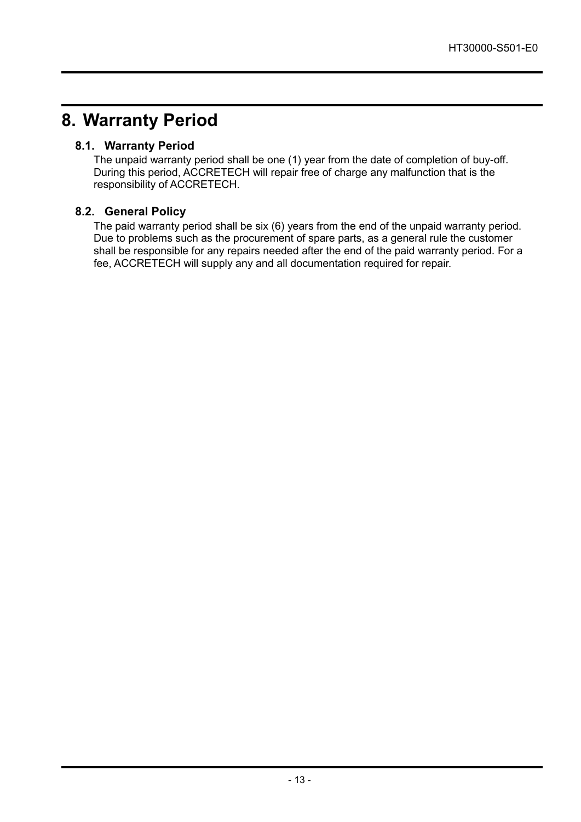### **8. Warranty Period**

### **8.1. Warranty Period**

The unpaid warranty period shall be one (1) year from the date of completion of buy-off. During this period, ACCRETECH will repair free of charge any malfunction that is the responsibility of ACCRETECH.

### **8.2. General Policy**

The paid warranty period shall be six (6) years from the end of the unpaid warranty period. Due to problems such as the procurement of spare parts, as a general rule the customer shall be responsible for any repairs needed after the end of the paid warranty period. For a fee, ACCRETECH will supply any and all documentation required for repair.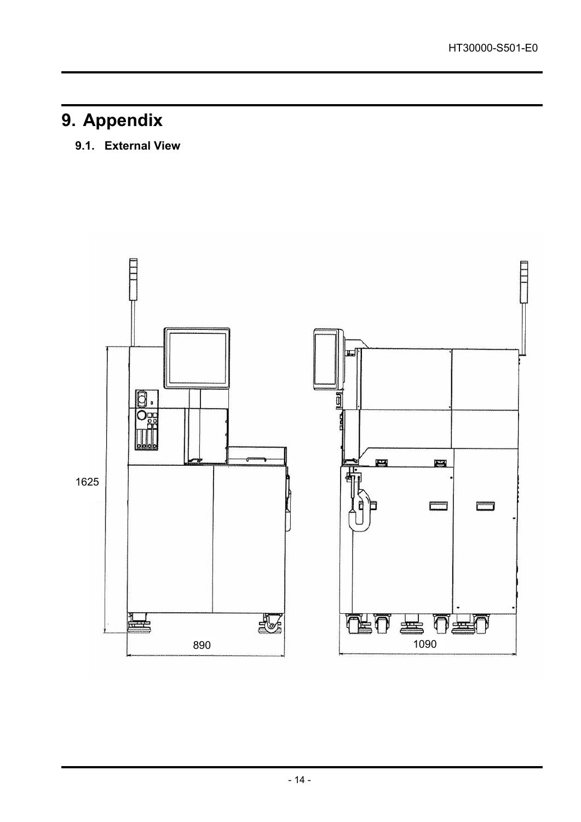# **9. Appendix**

### **9.1. External View**